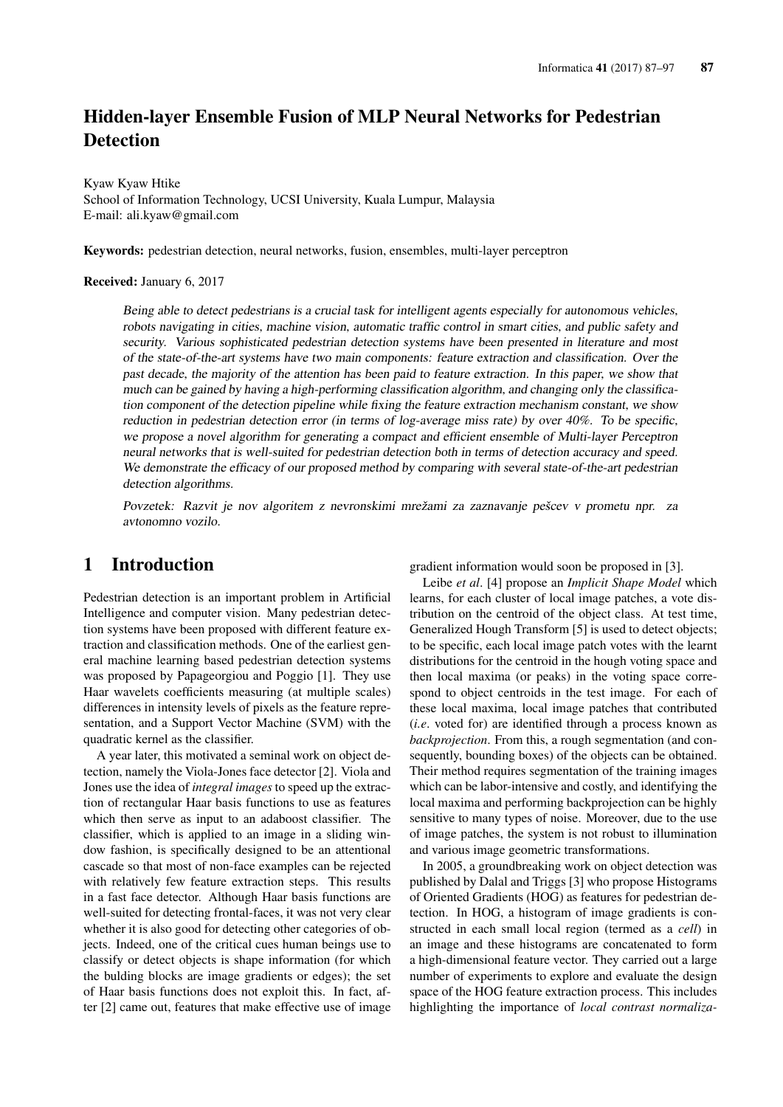# Hidden-layer Ensemble Fusion of MLP Neural Networks for Pedestrian **Detection**

Kyaw Kyaw Htike School of Information Technology, UCSI University, Kuala Lumpur, Malaysia E-mail: ali.kyaw@gmail.com

Keywords: pedestrian detection, neural networks, fusion, ensembles, multi-layer perceptron

#### Received: January 6, 2017

Being able to detect pedestrians is a crucial task for intelligent agents especially for autonomous vehicles, robots navigating in cities, machine vision, automatic traffic control in smart cities, and public safety and security. Various sophisticated pedestrian detection systems have been presented in literature and most of the state-of-the-art systems have two main components: feature extraction and classification. Over the past decade, the majority of the attention has been paid to feature extraction. In this paper, we show that much can be gained by having a high-performing classification algorithm, and changing only the classification component of the detection pipeline while fixing the feature extraction mechanism constant, we show reduction in pedestrian detection error (in terms of log-average miss rate) by over 40%. To be specific, we propose a novel algorithm for generating a compact and efficient ensemble of Multi-layer Perceptron neural networks that is well-suited for pedestrian detection both in terms of detection accuracy and speed. We demonstrate the efficacy of our proposed method by comparing with several state-of-the-art pedestrian detection algorithms.

Povzetek: Razvit je nov algoritem z nevronskimi mrežami za zaznavanje pešcev v prometu npr. za avtonomno vozilo.

# 1 Introduction

Pedestrian detection is an important problem in Artificial Intelligence and computer vision. Many pedestrian detection systems have been proposed with different feature extraction and classification methods. One of the earliest general machine learning based pedestrian detection systems was proposed by Papageorgiou and Poggio [1]. They use Haar wavelets coefficients measuring (at multiple scales) differences in intensity levels of pixels as the feature representation, and a Support Vector Machine (SVM) with the quadratic kernel as the classifier.

A year later, this motivated a seminal work on object detection, namely the Viola-Jones face detector [2]. Viola and Jones use the idea of *integral images* to speed up the extraction of rectangular Haar basis functions to use as features which then serve as input to an adaboost classifier. The classifier, which is applied to an image in a sliding window fashion, is specifically designed to be an attentional cascade so that most of non-face examples can be rejected with relatively few feature extraction steps. This results in a fast face detector. Although Haar basis functions are well-suited for detecting frontal-faces, it was not very clear whether it is also good for detecting other categories of objects. Indeed, one of the critical cues human beings use to classify or detect objects is shape information (for which the bulding blocks are image gradients or edges); the set of Haar basis functions does not exploit this. In fact, after [2] came out, features that make effective use of image gradient information would soon be proposed in [3].

Leibe *et al*. [4] propose an *Implicit Shape Model* which learns, for each cluster of local image patches, a vote distribution on the centroid of the object class. At test time, Generalized Hough Transform [5] is used to detect objects; to be specific, each local image patch votes with the learnt distributions for the centroid in the hough voting space and then local maxima (or peaks) in the voting space correspond to object centroids in the test image. For each of these local maxima, local image patches that contributed (*i.e*. voted for) are identified through a process known as *backprojection*. From this, a rough segmentation (and consequently, bounding boxes) of the objects can be obtained. Their method requires segmentation of the training images which can be labor-intensive and costly, and identifying the local maxima and performing backprojection can be highly sensitive to many types of noise. Moreover, due to the use of image patches, the system is not robust to illumination and various image geometric transformations.

In 2005, a groundbreaking work on object detection was published by Dalal and Triggs [3] who propose Histograms of Oriented Gradients (HOG) as features for pedestrian detection. In HOG, a histogram of image gradients is constructed in each small local region (termed as a *cell*) in an image and these histograms are concatenated to form a high-dimensional feature vector. They carried out a large number of experiments to explore and evaluate the design space of the HOG feature extraction process. This includes highlighting the importance of *local contrast normaliza-*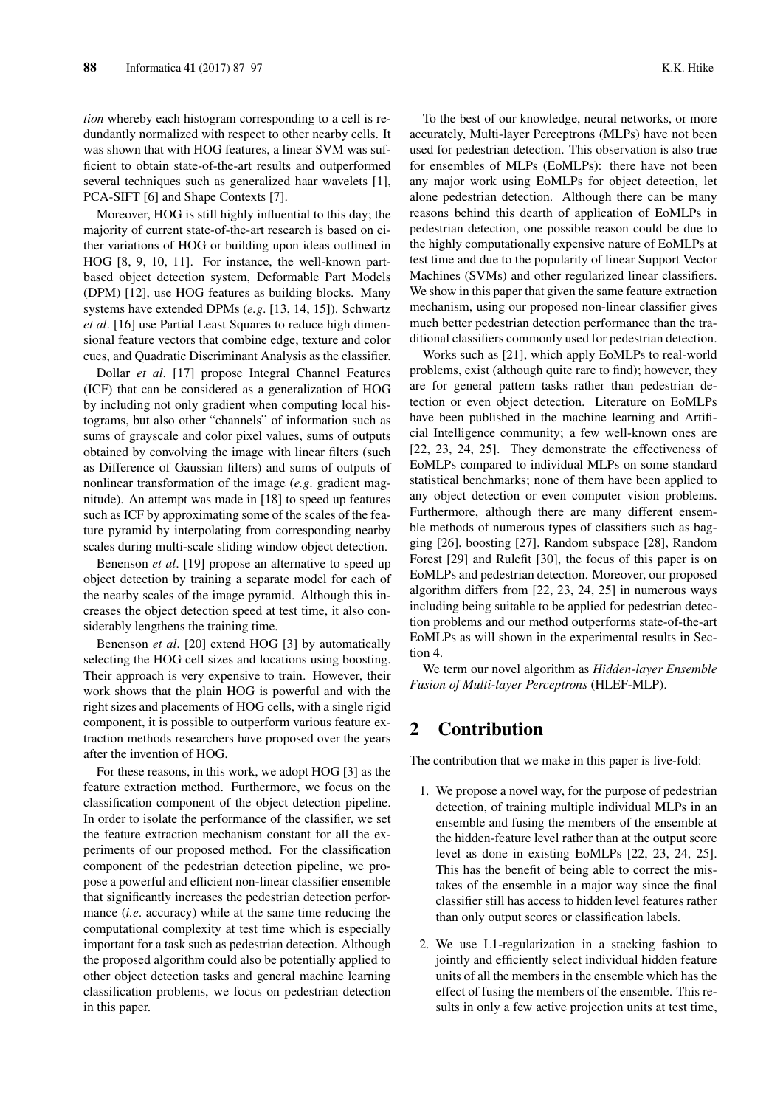*tion* whereby each histogram corresponding to a cell is redundantly normalized with respect to other nearby cells. It was shown that with HOG features, a linear SVM was sufficient to obtain state-of-the-art results and outperformed several techniques such as generalized haar wavelets [1], PCA-SIFT [6] and Shape Contexts [7].

Moreover, HOG is still highly influential to this day; the majority of current state-of-the-art research is based on either variations of HOG or building upon ideas outlined in HOG [8, 9, 10, 11]. For instance, the well-known partbased object detection system, Deformable Part Models (DPM) [12], use HOG features as building blocks. Many systems have extended DPMs (*e.g*. [13, 14, 15]). Schwartz *et al*. [16] use Partial Least Squares to reduce high dimensional feature vectors that combine edge, texture and color cues, and Quadratic Discriminant Analysis as the classifier.

Dollar *et al*. [17] propose Integral Channel Features (ICF) that can be considered as a generalization of HOG by including not only gradient when computing local histograms, but also other "channels" of information such as sums of grayscale and color pixel values, sums of outputs obtained by convolving the image with linear filters (such as Difference of Gaussian filters) and sums of outputs of nonlinear transformation of the image (*e.g*. gradient magnitude). An attempt was made in [18] to speed up features such as ICF by approximating some of the scales of the feature pyramid by interpolating from corresponding nearby scales during multi-scale sliding window object detection.

Benenson *et al*. [19] propose an alternative to speed up object detection by training a separate model for each of the nearby scales of the image pyramid. Although this increases the object detection speed at test time, it also considerably lengthens the training time.

Benenson *et al*. [20] extend HOG [3] by automatically selecting the HOG cell sizes and locations using boosting. Their approach is very expensive to train. However, their work shows that the plain HOG is powerful and with the right sizes and placements of HOG cells, with a single rigid component, it is possible to outperform various feature extraction methods researchers have proposed over the years after the invention of HOG.

For these reasons, in this work, we adopt HOG [3] as the feature extraction method. Furthermore, we focus on the classification component of the object detection pipeline. In order to isolate the performance of the classifier, we set the feature extraction mechanism constant for all the experiments of our proposed method. For the classification component of the pedestrian detection pipeline, we propose a powerful and efficient non-linear classifier ensemble that significantly increases the pedestrian detection performance (*i.e*. accuracy) while at the same time reducing the computational complexity at test time which is especially important for a task such as pedestrian detection. Although the proposed algorithm could also be potentially applied to other object detection tasks and general machine learning classification problems, we focus on pedestrian detection in this paper.

To the best of our knowledge, neural networks, or more accurately, Multi-layer Perceptrons (MLPs) have not been used for pedestrian detection. This observation is also true for ensembles of MLPs (EoMLPs): there have not been any major work using EoMLPs for object detection, let alone pedestrian detection. Although there can be many reasons behind this dearth of application of EoMLPs in pedestrian detection, one possible reason could be due to the highly computationally expensive nature of EoMLPs at test time and due to the popularity of linear Support Vector Machines (SVMs) and other regularized linear classifiers. We show in this paper that given the same feature extraction mechanism, using our proposed non-linear classifier gives much better pedestrian detection performance than the traditional classifiers commonly used for pedestrian detection.

Works such as [21], which apply EoMLPs to real-world problems, exist (although quite rare to find); however, they are for general pattern tasks rather than pedestrian detection or even object detection. Literature on EoMLPs have been published in the machine learning and Artificial Intelligence community; a few well-known ones are [22, 23, 24, 25]. They demonstrate the effectiveness of EoMLPs compared to individual MLPs on some standard statistical benchmarks; none of them have been applied to any object detection or even computer vision problems. Furthermore, although there are many different ensemble methods of numerous types of classifiers such as bagging [26], boosting [27], Random subspace [28], Random Forest [29] and Rulefit [30], the focus of this paper is on EoMLPs and pedestrian detection. Moreover, our proposed algorithm differs from [22, 23, 24, 25] in numerous ways including being suitable to be applied for pedestrian detection problems and our method outperforms state-of-the-art EoMLPs as will shown in the experimental results in Section 4.

We term our novel algorithm as *Hidden-layer Ensemble Fusion of Multi-layer Perceptrons* (HLEF-MLP).

# 2 Contribution

The contribution that we make in this paper is five-fold:

- 1. We propose a novel way, for the purpose of pedestrian detection, of training multiple individual MLPs in an ensemble and fusing the members of the ensemble at the hidden-feature level rather than at the output score level as done in existing EoMLPs [22, 23, 24, 25]. This has the benefit of being able to correct the mistakes of the ensemble in a major way since the final classifier still has access to hidden level features rather than only output scores or classification labels.
- 2. We use L1-regularization in a stacking fashion to jointly and efficiently select individual hidden feature units of all the members in the ensemble which has the effect of fusing the members of the ensemble. This results in only a few active projection units at test time,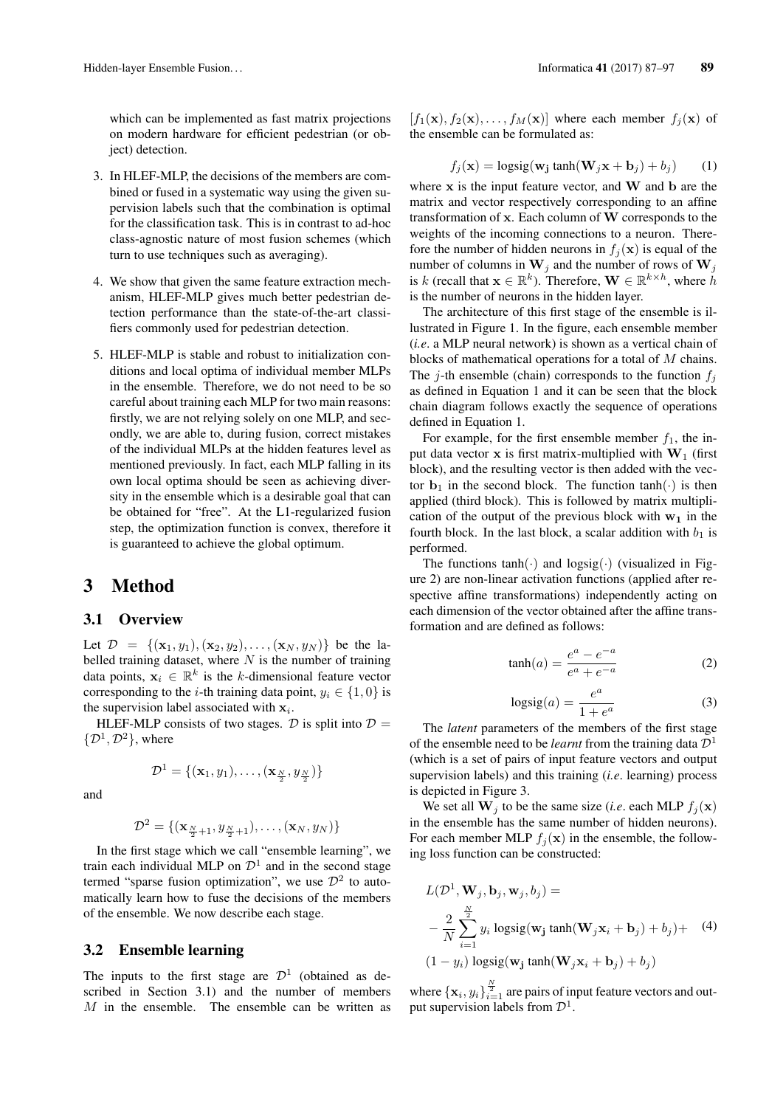which can be implemented as fast matrix projections on modern hardware for efficient pedestrian (or object) detection.

- 3. In HLEF-MLP, the decisions of the members are combined or fused in a systematic way using the given supervision labels such that the combination is optimal for the classification task. This is in contrast to ad-hoc class-agnostic nature of most fusion schemes (which turn to use techniques such as averaging).
- 4. We show that given the same feature extraction mechanism, HLEF-MLP gives much better pedestrian detection performance than the state-of-the-art classifiers commonly used for pedestrian detection.
- 5. HLEF-MLP is stable and robust to initialization conditions and local optima of individual member MLPs in the ensemble. Therefore, we do not need to be so careful about training each MLP for two main reasons: firstly, we are not relying solely on one MLP, and secondly, we are able to, during fusion, correct mistakes of the individual MLPs at the hidden features level as mentioned previously. In fact, each MLP falling in its own local optima should be seen as achieving diversity in the ensemble which is a desirable goal that can be obtained for "free". At the L1-regularized fusion step, the optimization function is convex, therefore it is guaranteed to achieve the global optimum.

# 3 Method

### 3.1 Overview

Let  $\mathcal{D} = \{(\mathbf{x}_1, y_1), (\mathbf{x}_2, y_2), \dots, (\mathbf{x}_N, y_N)\}\$ be the labelled training dataset, where  $N$  is the number of training data points,  $x_i \in \mathbb{R}^k$  is the k-dimensional feature vector corresponding to the *i*-th training data point,  $y_i \in \{1, 0\}$  is the supervision label associated with  $x_i$ .

HLEF-MLP consists of two stages. D is split into  $D =$  $\{\mathcal{D}^1, \mathcal{D}^2\}$ , where

$$
\mathcal{D}^1 = \{(\mathbf{x}_1, y_1), \ldots, (\mathbf{x}_{\frac{N}{2}}, y_{\frac{N}{2}})\}
$$

and

$$
\mathcal{D}^2 = \{(\mathbf{x}_{\frac{N}{2}+1}, y_{\frac{N}{2}+1}), \ldots, (\mathbf{x}_N, y_N)\}
$$

In the first stage which we call "ensemble learning", we train each individual MLP on  $\mathcal{D}^1$  and in the second stage termed "sparse fusion optimization", we use  $\mathcal{D}^2$  to automatically learn how to fuse the decisions of the members of the ensemble. We now describe each stage.

### 3.2 Ensemble learning

The inputs to the first stage are  $\mathcal{D}^1$  (obtained as described in Section 3.1) and the number of members M in the ensemble. The ensemble can be written as  $[f_1(\mathbf{x}), f_2(\mathbf{x}), \ldots, f_M(\mathbf{x})]$  where each member  $f_j(\mathbf{x})$  of the ensemble can be formulated as:

$$
f_j(\mathbf{x}) = \text{logsig}(\mathbf{w}_j \tanh(\mathbf{W}_j \mathbf{x} + \mathbf{b}_j) + b_j)
$$
 (1)

where  $x$  is the input feature vector, and  $W$  and  $b$  are the matrix and vector respectively corresponding to an affine transformation of x. Each column of W corresponds to the weights of the incoming connections to a neuron. Therefore the number of hidden neurons in  $f_j(\mathbf{x})$  is equal of the number of columns in  $W_j$  and the number of rows of  $W_j$ is k (recall that  $\mathbf{x} \in \mathbb{R}^k$ ). Therefore,  $\mathbf{W} \in \mathbb{R}^{k \times h}$ , where  $\hat{h}$ is the number of neurons in the hidden layer.

The architecture of this first stage of the ensemble is illustrated in Figure 1. In the figure, each ensemble member (*i.e*. a MLP neural network) is shown as a vertical chain of blocks of mathematical operations for a total of M chains. The j-th ensemble (chain) corresponds to the function  $f_i$ as defined in Equation 1 and it can be seen that the block chain diagram follows exactly the sequence of operations defined in Equation 1.

For example, for the first ensemble member  $f_1$ , the input data vector  $x$  is first matrix-multiplied with  $W_1$  (first block), and the resulting vector is then added with the vector  $\mathbf{b}_1$  in the second block. The function  $\tanh(\cdot)$  is then applied (third block). This is followed by matrix multiplication of the output of the previous block with  $w_1$  in the fourth block. In the last block, a scalar addition with  $b_1$  is performed.

The functions  $tanh(\cdot)$  and  $logsig(\cdot)$  (visualized in Figure 2) are non-linear activation functions (applied after respective affine transformations) independently acting on each dimension of the vector obtained after the affine transformation and are defined as follows:

$$
\tanh(a) = \frac{e^a - e^{-a}}{e^a + e^{-a}}\tag{2}
$$

$$
logsig(a) = \frac{e^a}{1 + e^a} \tag{3}
$$

The *latent* parameters of the members of the first stage of the ensemble need to be *learnt* from the training data  $\mathcal{D}^1$ (which is a set of pairs of input feature vectors and output supervision labels) and this training (*i.e*. learning) process is depicted in Figure 3.

We set all  $W_j$  to be the same size (*i.e.* each MLP  $f_j(\mathbf{x})$ in the ensemble has the same number of hidden neurons). For each member MLP  $f_j(\mathbf{x})$  in the ensemble, the following loss function can be constructed:

$$
L(\mathcal{D}^1, \mathbf{W}_j, \mathbf{b}_j, \mathbf{w}_j, b_j) =
$$
  
-  $\frac{2}{N} \sum_{i=1}^{\frac{N}{2}} y_i \text{ logsig}(\mathbf{w}_j \tanh(\mathbf{W}_j \mathbf{x}_i + \mathbf{b}_j) + b_j) + (4)$   
(1 - y<sub>i</sub>) logsig( $\mathbf{w}_j \tanh(\mathbf{W}_j \mathbf{x}_i + \mathbf{b}_j) + b_j$ )

where  $\{x_i, y_i\}_{i=1}^{\frac{N}{2}}$  are pairs of input feature vectors and output supervision labels from  $\mathcal{D}^1$ .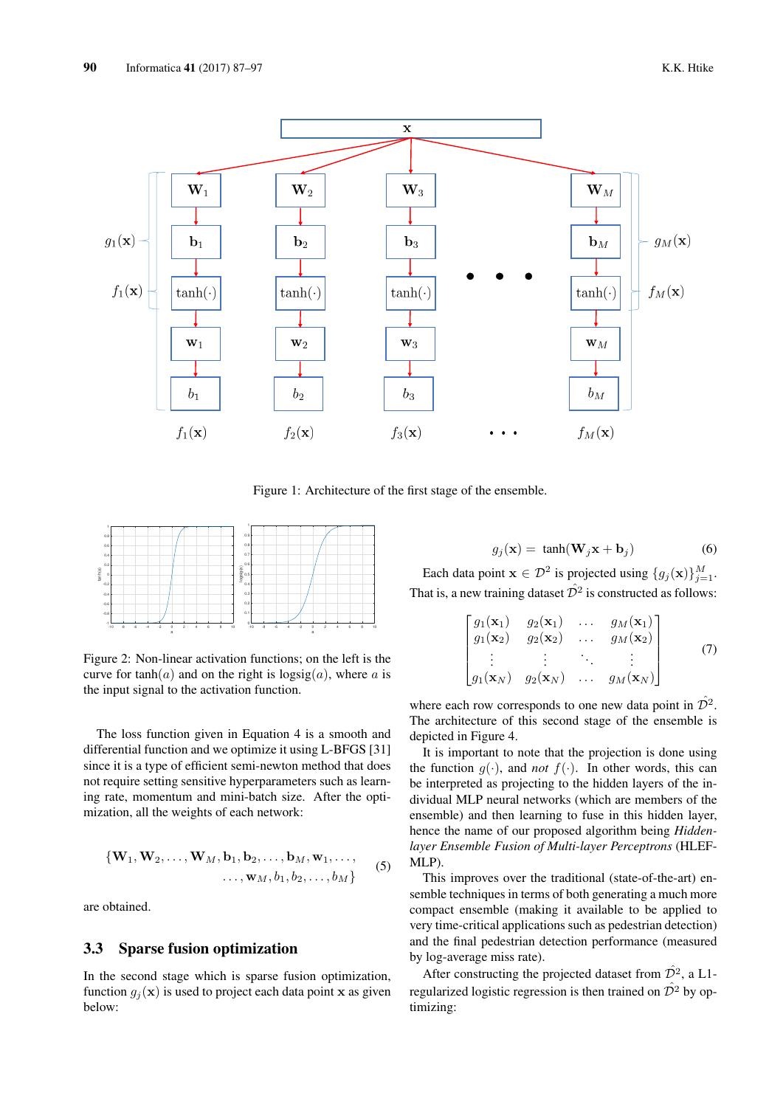

Figure 1: Architecture of the first stage of the ensemble.



Figure 2: Non-linear activation functions; on the left is the curve for tanh(a) and on the right is  $\log sig(a)$ , where a is the input signal to the activation function.

The loss function given in Equation 4 is a smooth and differential function and we optimize it using L-BFGS [31] since it is a type of efficient semi-newton method that does not require setting sensitive hyperparameters such as learning rate, momentum and mini-batch size. After the optimization, all the weights of each network:

$$
\{\mathbf W_1, \mathbf W_2, \dots, \mathbf W_M, \mathbf b_1, \mathbf b_2, \dots, \mathbf b_M, \mathbf w_1, \dots, \dots, \mathbf w_M, b_1, b_2, \dots, b_M\}
$$
 (5)

are obtained.

## 3.3 Sparse fusion optimization

In the second stage which is sparse fusion optimization, function  $q_i(\mathbf{x})$  is used to project each data point x as given below:

$$
g_j(\mathbf{x}) = \tanh(\mathbf{W}_j \mathbf{x} + \mathbf{b}_j) \tag{6}
$$

Each data point  $\mathbf{x} \in \mathcal{D}^2$  is projected using  $\{g_j(\mathbf{x})\}_{j=1}^M$ . That is, a new training dataset  $\hat{\mathcal{D}}^2$  is constructed as follows:

$$
\begin{bmatrix}\ng_1(\mathbf{x}_1) & g_2(\mathbf{x}_1) & \dots & g_M(\mathbf{x}_1) \\
g_1(\mathbf{x}_2) & g_2(\mathbf{x}_2) & \dots & g_M(\mathbf{x}_2) \\
\vdots & \vdots & \ddots & \vdots \\
g_1(\mathbf{x}_N) & g_2(\mathbf{x}_N) & \dots & g_M(\mathbf{x}_N)\n\end{bmatrix} (7)
$$

where each row corresponds to one new data point in  $\hat{\mathcal{D}}^2$ . The architecture of this second stage of the ensemble is depicted in Figure 4.

It is important to note that the projection is done using the function  $g(\cdot)$ , and *not*  $f(\cdot)$ . In other words, this can be interpreted as projecting to the hidden layers of the individual MLP neural networks (which are members of the ensemble) and then learning to fuse in this hidden layer, hence the name of our proposed algorithm being *Hiddenlayer Ensemble Fusion of Multi-layer Perceptrons* (HLEF-MLP).

This improves over the traditional (state-of-the-art) ensemble techniques in terms of both generating a much more compact ensemble (making it available to be applied to very time-critical applications such as pedestrian detection) and the final pedestrian detection performance (measured by log-average miss rate).

After constructing the projected dataset from  $\hat{\mathcal{D}}^2$ , a L1regularized logistic regression is then trained on  $\hat{\mathcal{D}}^2$  by optimizing: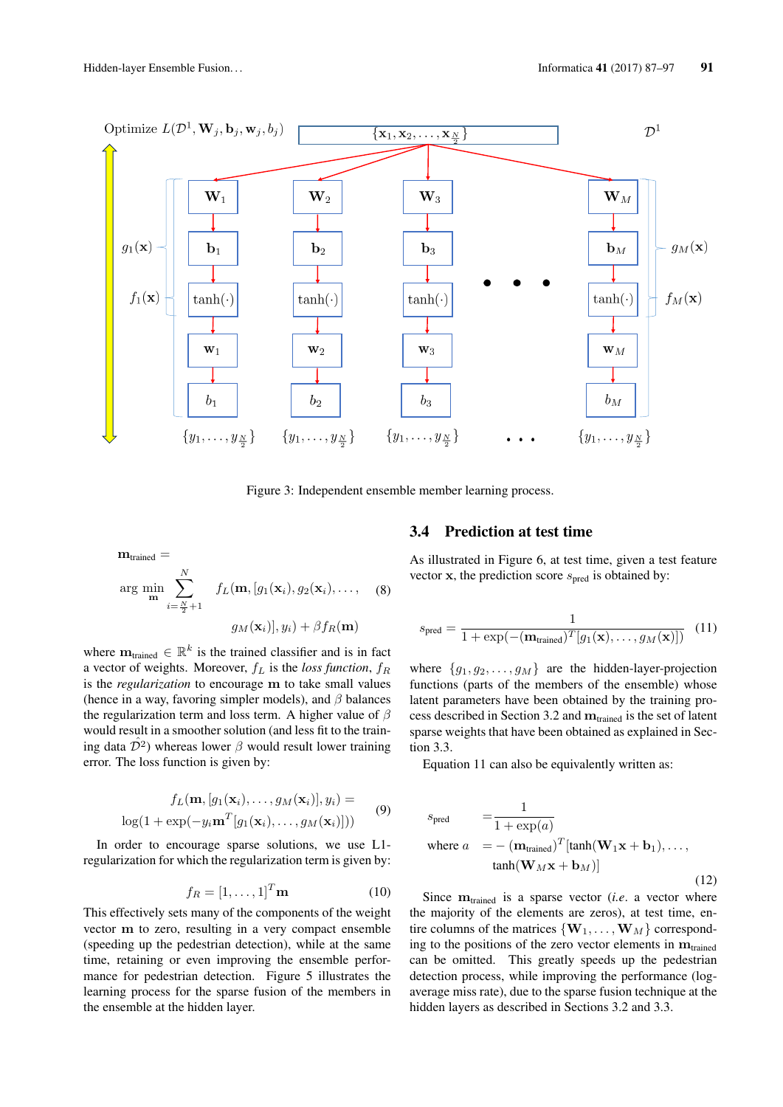

Figure 3: Independent ensemble member learning process.

$$
\mathbf{m}_{\text{trained}} = \operatorname{arg~min}_{\mathbf{m}} \sum_{i=\frac{N}{2}+1}^{N} f_L(\mathbf{m}, [g_1(\mathbf{x}_i), g_2(\mathbf{x}_i), \dots, (8))
$$
  

$$
g_M(\mathbf{x}_i)], y_i) + \beta f_R(\mathbf{m})
$$

where  $\mathbf{m}_{\text{trained}} \in \mathbb{R}^k$  is the trained classifier and is in fact a vector of weights. Moreover,  $f_L$  is the *loss function*,  $f_R$ is the *regularization* to encourage m to take small values (hence in a way, favoring simpler models), and  $\beta$  balances the regularization term and loss term. A higher value of  $\beta$ would result in a smoother solution (and less fit to the training data  $\mathcal{D}^2$ ) whereas lower  $\beta$  would result lower training error. The loss function is given by:

$$
f_L(\mathbf{m}, [g_1(\mathbf{x}_i), \dots, g_M(\mathbf{x}_i)], y_i) = \log(1 + \exp(-y_i \mathbf{m}^T [g_1(\mathbf{x}_i), \dots, g_M(\mathbf{x}_i)]))
$$
(9)

In order to encourage sparse solutions, we use L1 regularization for which the regularization term is given by:

$$
f_R = [1, \dots, 1]^T \mathbf{m} \tag{10}
$$

This effectively sets many of the components of the weight vector m to zero, resulting in a very compact ensemble (speeding up the pedestrian detection), while at the same time, retaining or even improving the ensemble performance for pedestrian detection. Figure 5 illustrates the learning process for the sparse fusion of the members in the ensemble at the hidden layer.

## 3.4 Prediction at test time

As illustrated in Figure 6, at test time, given a test feature vector x, the prediction score  $s_{pred}$  is obtained by:

$$
s_{\text{pred}} = \frac{1}{1 + \exp(-(\mathbf{m}_{\text{trained}})^T[g_1(\mathbf{x}), \dots, g_M(\mathbf{x})])} \tag{11}
$$

where  $\{g_1, g_2, \ldots, g_M\}$  are the hidden-layer-projection functions (parts of the members of the ensemble) whose latent parameters have been obtained by the training process described in Section 3.2 and  $m_{\text{trained}}$  is the set of latent sparse weights that have been obtained as explained in Section 3.3.

Equation 11 can also be equivalently written as:

$$
s_{\text{pred}} = \frac{1}{1 + \exp(a)}
$$
  
where  $a = -(\mathbf{m}_{\text{trained}})^T[\tanh(\mathbf{W}_1 \mathbf{x} + \mathbf{b}_1), ..., \tanh(\mathbf{W}_M \mathbf{x} + \mathbf{b}_M)]$  (12)

Since  $m_{\text{trained}}$  is a sparse vector (*i.e.* a vector where the majority of the elements are zeros), at test time, entire columns of the matrices  $\{W_1, \ldots, W_M\}$  corresponding to the positions of the zero vector elements in  $m_{\text{trained}}$ can be omitted. This greatly speeds up the pedestrian detection process, while improving the performance (logaverage miss rate), due to the sparse fusion technique at the hidden layers as described in Sections 3.2 and 3.3.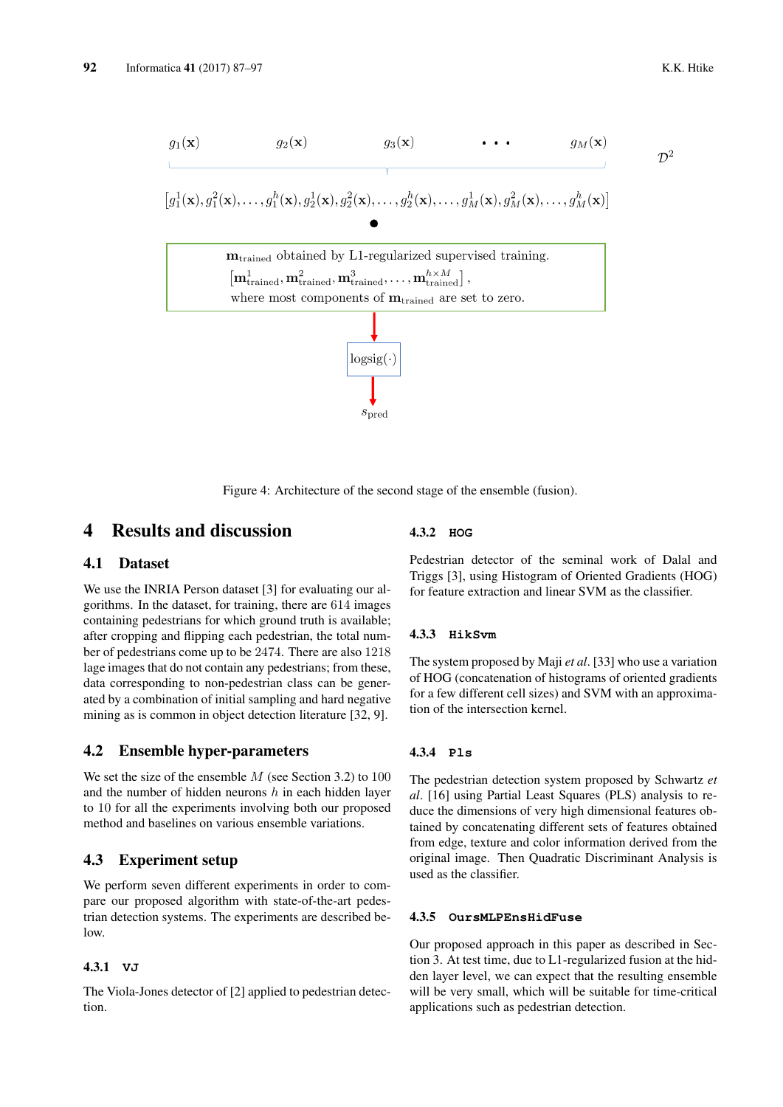$\mathcal{D}^2$ 

$$
g_1(\mathbf{x}) \t g_2(\mathbf{x}) \t g_3(\mathbf{x}) \t \t \cdot \cdot \cdot \t g_M(\mathbf{x})
$$
\n
$$
[g_1^1(\mathbf{x}), g_1^2(\mathbf{x}), \ldots, g_1^h(\mathbf{x}), g_2^1(\mathbf{x}), g_2^2(\mathbf{x}), \ldots, g_2^h(\mathbf{x}), \ldots, g_M^1(\mathbf{x}), g_M^2(\mathbf{x}), \ldots, g_M^h(\mathbf{x})]
$$
\n①

\n①

\n①

\n①

\n①

\n①

\n①

\n①

\n①

\n①

\n①

\n①

\n①

\n①

\n①

\n①

\n①

\n①

\n①

\n①

\n①

\n①

\n①

\n①

\n①

\n①

\n①

\n①

\n①

\n①

\n①

\n①

\n①

\n①

\n①

\n①

\n①

\n①

\n①

\n①

\n①

\n①

\n①

\n①

\n①

\n①

\n①

\n①

\n①

\n①

\n①

\n①

\n①

\n①

\n①

\n①

\n①

\n①

\n①

\n①

\n①

\n①

\n①

\n①

\n①

\n①

\n①

\n①

\n①

\n①

\n①

\n①

\n①

\n①

\n

Figure 4: Architecture of the second stage of the ensemble (fusion).

# 4 Results and discussion

### 4.1 Dataset

We use the INRIA Person dataset [3] for evaluating our algorithms. In the dataset, for training, there are 614 images containing pedestrians for which ground truth is available; after cropping and flipping each pedestrian, the total number of pedestrians come up to be 2474. There are also 1218 lage images that do not contain any pedestrians; from these, data corresponding to non-pedestrian class can be generated by a combination of initial sampling and hard negative mining as is common in object detection literature [32, 9].

### 4.2 Ensemble hyper-parameters

We set the size of the ensemble  $M$  (see Section 3.2) to 100 and the number of hidden neurons  $h$  in each hidden layer to 10 for all the experiments involving both our proposed method and baselines on various ensemble variations.

# 4.3 Experiment setup

We perform seven different experiments in order to compare our proposed algorithm with state-of-the-art pedestrian detection systems. The experiments are described be- $\log$ 

### 4.3.1 **VJ**

The Viola-Jones detector of [2] applied to pedestrian detection.

#### 4.3.2 **HOG**

Pedestrian detector of the seminal work of Dalal and Triggs [3], using Histogram of Oriented Gradients (HOG) for feature extraction and linear SVM as the classifier.

#### 4.3.3 **HikSvm**

The system proposed by Maji *et al*. [33] who use a variation of HOG (concatenation of histograms of oriented gradients for a few different cell sizes) and SVM with an approximation of the intersection kernel.

#### 4.3.4 **Pls**

The pedestrian detection system proposed by Schwartz *et al*. [16] using Partial Least Squares (PLS) analysis to reduce the dimensions of very high dimensional features obtained by concatenating different sets of features obtained from edge, texture and color information derived from the original image. Then Quadratic Discriminant Analysis is used as the classifier.

#### 4.3.5 **OursMLPEnsHidFuse**

Our proposed approach in this paper as described in Section 3. At test time, due to L1-regularized fusion at the hidden layer level, we can expect that the resulting ensemble will be very small, which will be suitable for time-critical applications such as pedestrian detection.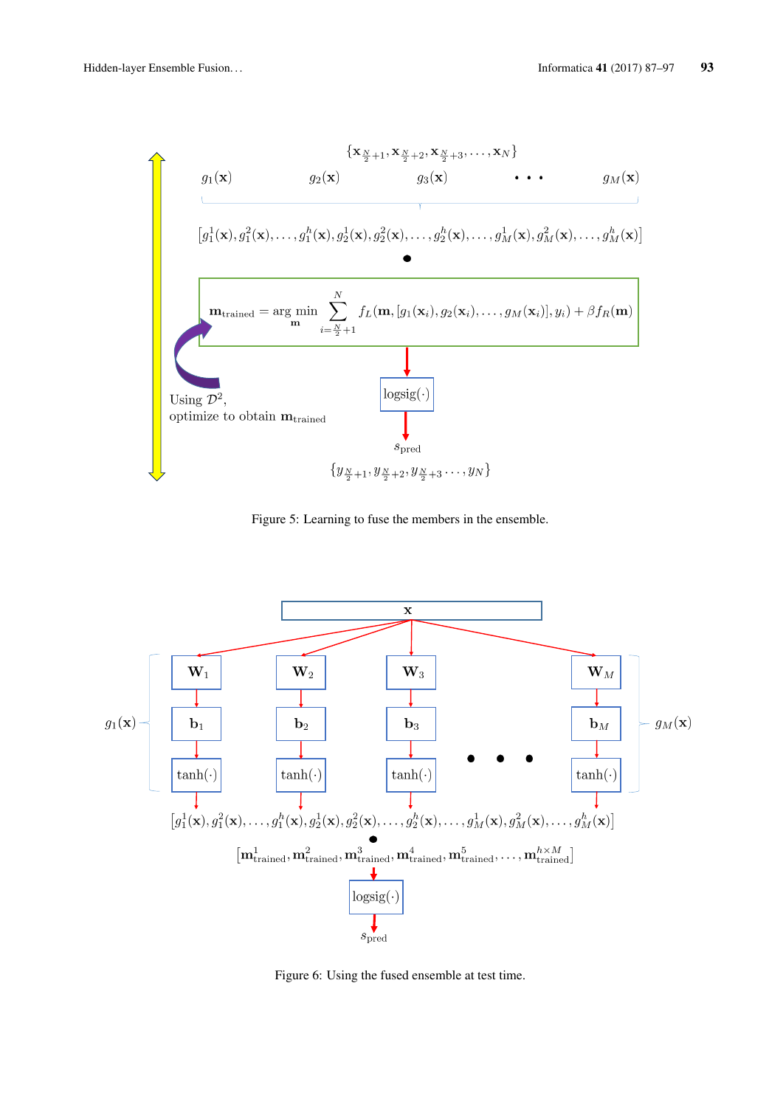

Figure 5: Learning to fuse the members in the ensemble.



Figure 6: Using the fused ensemble at test time.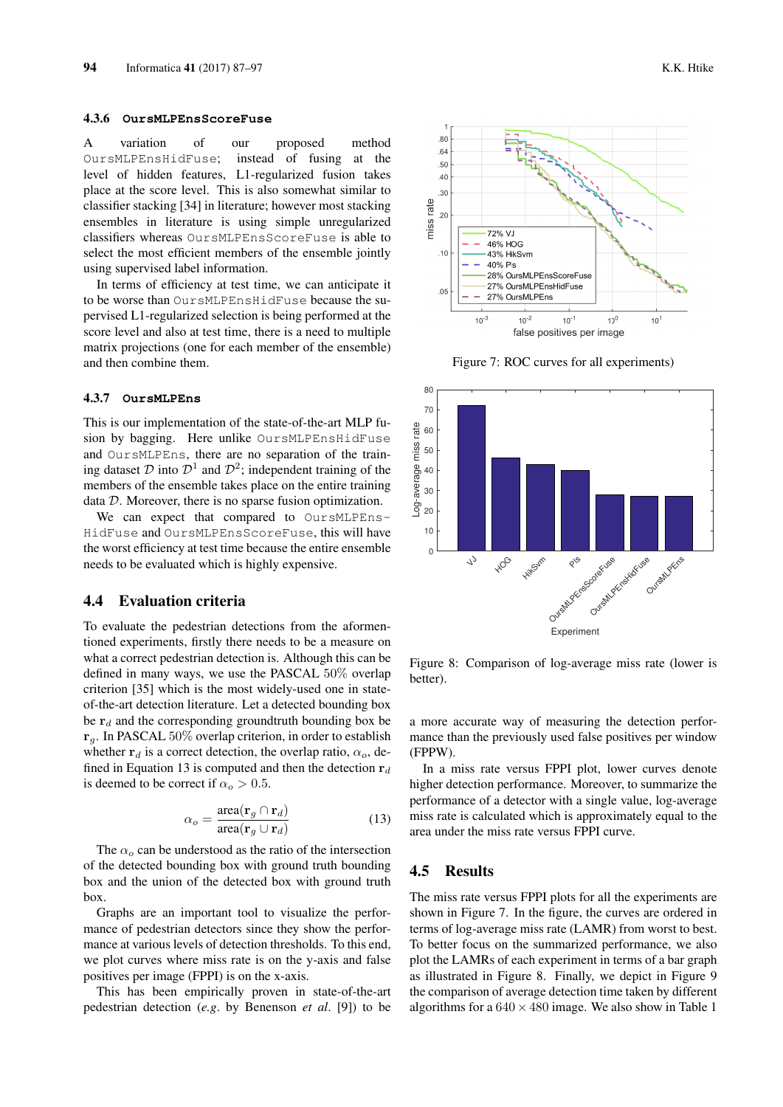#### 4.3.6 **OursMLPEnsScoreFuse**

A variation of our proposed method OursMLPEnsHidFuse; instead of fusing at the level of hidden features, L1-regularized fusion takes place at the score level. This is also somewhat similar to classifier stacking [34] in literature; however most stacking ensembles in literature is using simple unregularized classifiers whereas OursMLPEnsScoreFuse is able to select the most efficient members of the ensemble jointly using supervised label information.

In terms of efficiency at test time, we can anticipate it to be worse than OursMLPEnsHidFuse because the supervised L1-regularized selection is being performed at the score level and also at test time, there is a need to multiple matrix projections (one for each member of the ensemble) and then combine them.

#### 4.3.7 **OursMLPEns**

This is our implementation of the state-of-the-art MLP fusion by bagging. Here unlike OursMLPEnsHidFuse and OursMLPEns, there are no separation of the training dataset  $D$  into  $D^1$  and  $D^2$ ; independent training of the members of the ensemble takes place on the entire training data D. Moreover, there is no sparse fusion optimization.

We can expect that compared to OursMLPEns-HidFuse and OursMLPEnsScoreFuse, this will have the worst efficiency at test time because the entire ensemble needs to be evaluated which is highly expensive.

### 4.4 Evaluation criteria

To evaluate the pedestrian detections from the aformentioned experiments, firstly there needs to be a measure on what a correct pedestrian detection is. Although this can be defined in many ways, we use the PASCAL 50% overlap criterion [35] which is the most widely-used one in stateof-the-art detection literature. Let a detected bounding box be  $r_d$  and the corresponding groundtruth bounding box be  $r_q$ . In PASCAL 50% overlap criterion, in order to establish whether  $r_d$  is a correct detection, the overlap ratio,  $\alpha_o$ , defined in Equation 13 is computed and then the detection  $r_d$ is deemed to be correct if  $\alpha_o > 0.5$ .

$$
\alpha_o = \frac{\text{area}(\mathbf{r}_g \cap \mathbf{r}_d)}{\text{area}(\mathbf{r}_g \cup \mathbf{r}_d)}\tag{13}
$$

The  $\alpha_o$  can be understood as the ratio of the intersection of the detected bounding box with ground truth bounding box and the union of the detected box with ground truth box.

Graphs are an important tool to visualize the performance of pedestrian detectors since they show the performance at various levels of detection thresholds. To this end, we plot curves where miss rate is on the y-axis and false positives per image (FPPI) is on the x-axis.

This has been empirically proven in state-of-the-art pedestrian detection (*e.g*. by Benenson *et al*. [9]) to be



Figure 7: ROC curves for all experiments)



Figure 8: Comparison of log-average miss rate (lower is better).

a more accurate way of measuring the detection performance than the previously used false positives per window (FPPW).

In a miss rate versus FPPI plot, lower curves denote higher detection performance. Moreover, to summarize the performance of a detector with a single value, log-average miss rate is calculated which is approximately equal to the area under the miss rate versus FPPI curve.

### 4.5 Results

The miss rate versus FPPI plots for all the experiments are shown in Figure 7. In the figure, the curves are ordered in terms of log-average miss rate (LAMR) from worst to best. To better focus on the summarized performance, we also plot the LAMRs of each experiment in terms of a bar graph as illustrated in Figure 8. Finally, we depict in Figure 9 the comparison of average detection time taken by different algorithms for a  $640 \times 480$  image. We also show in Table 1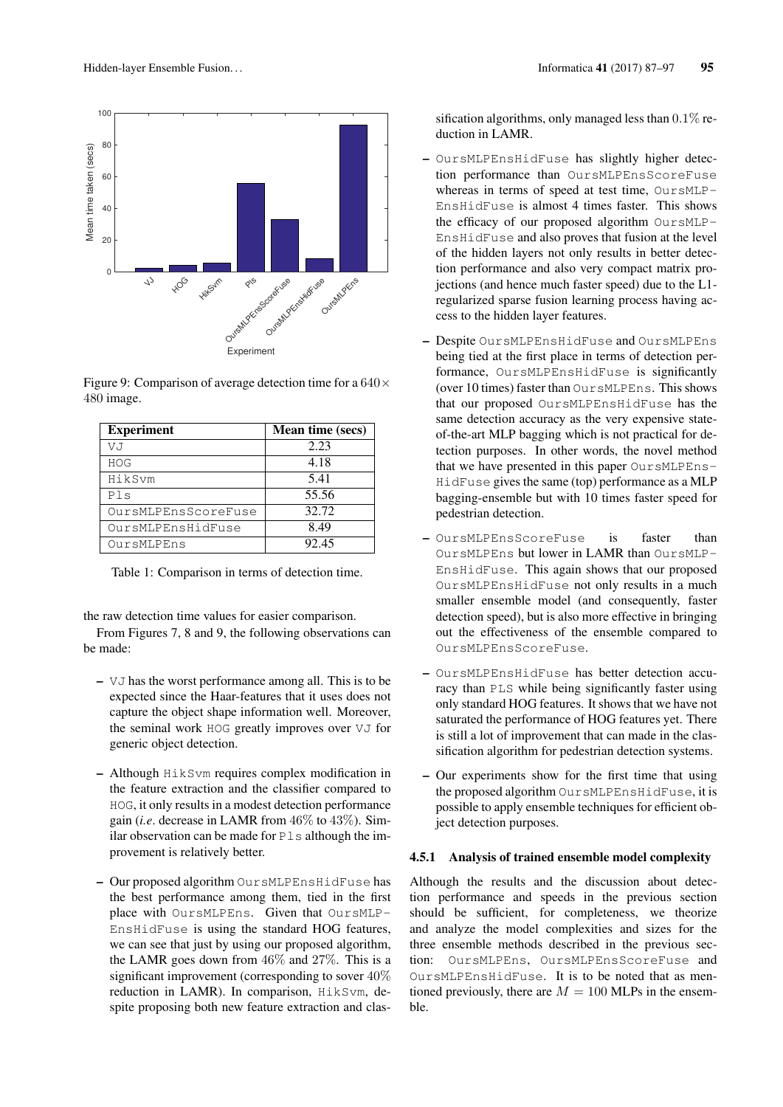

Figure 9: Comparison of average detection time for a  $640 \times$ 480 image.

| <b>Experiment</b>   | <b>Mean time (secs)</b> |
|---------------------|-------------------------|
| VJ                  | 2.23                    |
| <b>HOG</b>          | 4.18                    |
| HikSvm              | 5.41                    |
| Pls                 | 55.56                   |
| OursMLPEnsScoreFuse | 32.72                   |
| OursMLPEnsHidFuse   | 8.49                    |
| OursMLPEns          | 92.45                   |

Table 1: Comparison in terms of detection time.

the raw detection time values for easier comparison.

From Figures 7, 8 and 9, the following observations can be made:

- VJ has the worst performance among all. This is to be expected since the Haar-features that it uses does not capture the object shape information well. Moreover, the seminal work HOG greatly improves over VJ for generic object detection.
- Although HikSvm requires complex modification in the feature extraction and the classifier compared to HOG, it only results in a modest detection performance gain (*i.e*. decrease in LAMR from 46% to 43%). Similar observation can be made for  $P \&set$ s although the improvement is relatively better.
- Our proposed algorithm OursMLPEnsHidFuse has the best performance among them, tied in the first place with OursMLPEns. Given that OursMLP-EnsHidFuse is using the standard HOG features, we can see that just by using our proposed algorithm. the LAMR goes down from 46% and 27%. This is a significant improvement (corresponding to sover 40% reduction in LAMR). In comparison, HikSvm, despite proposing both new feature extraction and clas-

sification algorithms, only managed less than  $0.1\%$  reduction in LAMR.

- OursMLPEnsHidFuse has slightly higher detection performance than OursMLPEnsScoreFuse whereas in terms of speed at test time, OursMLP-EnsHidFuse is almost 4 times faster. This shows the efficacy of our proposed algorithm OursMLP-EnsHidFuse and also proves that fusion at the level of the hidden layers not only results in better detection performance and also very compact matrix projections (and hence much faster speed) due to the L1 regularized sparse fusion learning process having access to the hidden layer features.
- Despite OursMLPEnsHidFuse and OursMLPEns being tied at the first place in terms of detection performance, OursMLPEnsHidFuse is significantly (over 10 times) faster than OursMLPEns. This shows that our proposed OursMLPEnsHidFuse has the same detection accuracy as the very expensive stateof-the-art MLP bagging which is not practical for detection purposes. In other words, the novel method that we have presented in this paper OursMLPEns-HidFuse gives the same (top) performance as a MLP bagging-ensemble but with 10 times faster speed for pedestrian detection.
- OursMLPEnsScoreFuse is faster than OursMLPEns but lower in LAMR than OursMLP-EnsHidFuse. This again shows that our proposed OursMLPEnsHidFuse not only results in a much smaller ensemble model (and consequently, faster detection speed), but is also more effective in bringing out the effectiveness of the ensemble compared to OursMLPEnsScoreFuse.
- OursMLPEnsHidFuse has better detection accuracy than PLS while being significantly faster using only standard HOG features. It shows that we have not saturated the performance of HOG features yet. There is still a lot of improvement that can made in the classification algorithm for pedestrian detection systems.
- Our experiments show for the first time that using the proposed algorithm OursMLPEnsHidFuse, it is possible to apply ensemble techniques for efficient object detection purposes.

#### 4.5.1 Analysis of trained ensemble model complexity

Although the results and the discussion about detection performance and speeds in the previous section should be sufficient, for completeness, we theorize and analyze the model complexities and sizes for the three ensemble methods described in the previous section: OursMLPEns, OursMLPEnsScoreFuse and OursMLPEnsHidFuse. It is to be noted that as mentioned previously, there are  $M = 100$  MLPs in the ensemble.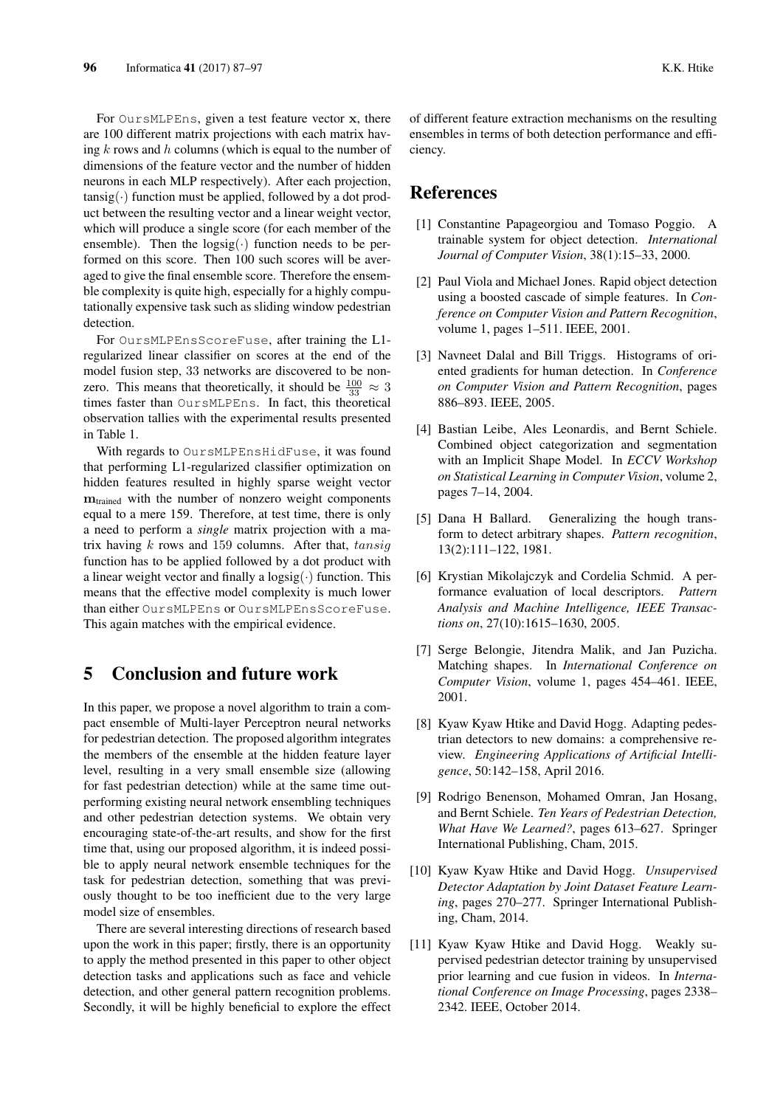For OursMLPEns, given a test feature vector x, there are 100 different matrix projections with each matrix having  $k$  rows and  $h$  columns (which is equal to the number of dimensions of the feature vector and the number of hidden neurons in each MLP respectively). After each projection,  $tansig(\cdot)$  function must be applied, followed by a dot product between the resulting vector and a linear weight vector, which will produce a single score (for each member of the ensemble). Then the  $logsig(\cdot)$  function needs to be performed on this score. Then 100 such scores will be averaged to give the final ensemble score. Therefore the ensemble complexity is quite high, especially for a highly computationally expensive task such as sliding window pedestrian detection.

For OursMLPEnsScoreFuse, after training the L1 regularized linear classifier on scores at the end of the model fusion step, 33 networks are discovered to be nonzero. This means that theoretically, it should be  $\frac{100}{33} \approx 3$ times faster than OursMLPEns. In fact, this theoretical observation tallies with the experimental results presented in Table 1.

With regards to OursMLPEnsHidFuse, it was found that performing L1-regularized classifier optimization on hidden features resulted in highly sparse weight vector  $m_{\text{trained}}$  with the number of nonzero weight components equal to a mere 159. Therefore, at test time, there is only a need to perform a *single* matrix projection with a matrix having  $k$  rows and 159 columns. After that,  $tansiq$ function has to be applied followed by a dot product with a linear weight vector and finally a  $\log sig(\cdot)$  function. This means that the effective model complexity is much lower than either OursMLPEns or OursMLPEnsScoreFuse. This again matches with the empirical evidence.

# 5 Conclusion and future work

In this paper, we propose a novel algorithm to train a compact ensemble of Multi-layer Perceptron neural networks for pedestrian detection. The proposed algorithm integrates the members of the ensemble at the hidden feature layer level, resulting in a very small ensemble size (allowing for fast pedestrian detection) while at the same time outperforming existing neural network ensembling techniques and other pedestrian detection systems. We obtain very encouraging state-of-the-art results, and show for the first time that, using our proposed algorithm, it is indeed possible to apply neural network ensemble techniques for the task for pedestrian detection, something that was previously thought to be too inefficient due to the very large model size of ensembles.

There are several interesting directions of research based upon the work in this paper; firstly, there is an opportunity to apply the method presented in this paper to other object detection tasks and applications such as face and vehicle detection, and other general pattern recognition problems. Secondly, it will be highly beneficial to explore the effect of different feature extraction mechanisms on the resulting ensembles in terms of both detection performance and efficiency.

# References

- [1] Constantine Papageorgiou and Tomaso Poggio. A trainable system for object detection. *International Journal of Computer Vision*, 38(1):15–33, 2000.
- [2] Paul Viola and Michael Jones. Rapid object detection using a boosted cascade of simple features. In *Conference on Computer Vision and Pattern Recognition*, volume 1, pages 1–511. IEEE, 2001.
- [3] Navneet Dalal and Bill Triggs. Histograms of oriented gradients for human detection. In *Conference on Computer Vision and Pattern Recognition*, pages 886–893. IEEE, 2005.
- [4] Bastian Leibe, Ales Leonardis, and Bernt Schiele. Combined object categorization and segmentation with an Implicit Shape Model. In *ECCV Workshop on Statistical Learning in Computer Vision*, volume 2, pages 7–14, 2004.
- [5] Dana H Ballard. Generalizing the hough transform to detect arbitrary shapes. *Pattern recognition*, 13(2):111–122, 1981.
- [6] Krystian Mikolajczyk and Cordelia Schmid. A performance evaluation of local descriptors. *Pattern Analysis and Machine Intelligence, IEEE Transactions on*, 27(10):1615–1630, 2005.
- [7] Serge Belongie, Jitendra Malik, and Jan Puzicha. Matching shapes. In *International Conference on Computer Vision*, volume 1, pages 454–461. IEEE, 2001.
- [8] Kyaw Kyaw Htike and David Hogg. Adapting pedestrian detectors to new domains: a comprehensive review. *Engineering Applications of Artificial Intelligence*, 50:142–158, April 2016.
- [9] Rodrigo Benenson, Mohamed Omran, Jan Hosang, and Bernt Schiele. *Ten Years of Pedestrian Detection, What Have We Learned?*, pages 613–627. Springer International Publishing, Cham, 2015.
- [10] Kyaw Kyaw Htike and David Hogg. *Unsupervised Detector Adaptation by Joint Dataset Feature Learning*, pages 270–277. Springer International Publishing, Cham, 2014.
- [11] Kyaw Kyaw Htike and David Hogg. Weakly supervised pedestrian detector training by unsupervised prior learning and cue fusion in videos. In *International Conference on Image Processing*, pages 2338– 2342. IEEE, October 2014.